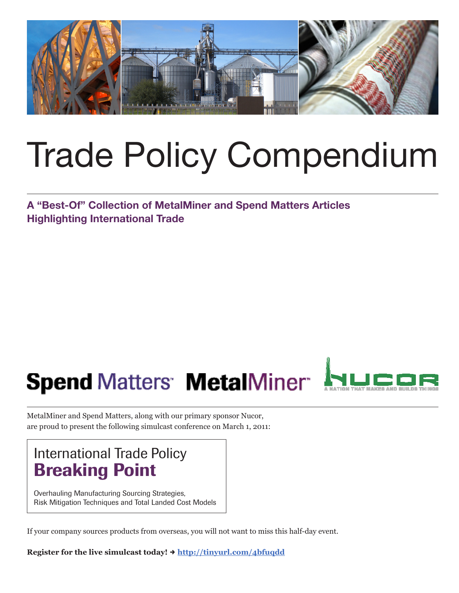

# Trade Policy Compendium

**A "Best-Of" Collection of MetalMiner and Spend Matters Articles Highlighting International Trade**

# **Spend Matters MetalMiner**



MetalMiner and Spend Matters, along with our primary sponsor Nucor, are proud to present the following simulcast conference on March 1, 2011:

# [International Trade Policy](http://tinyurl.com/4bfuqdd) Breaking Point

Overhauling Manufacturing Sourcing Strategies, Risk Mitigation Techniques and Total Landed Cost Models

If your company sources products from overseas, you will not want to miss this half-day event.

**Register for the live simulcast today! → <http://tinyurl.com/4bfuqdd>**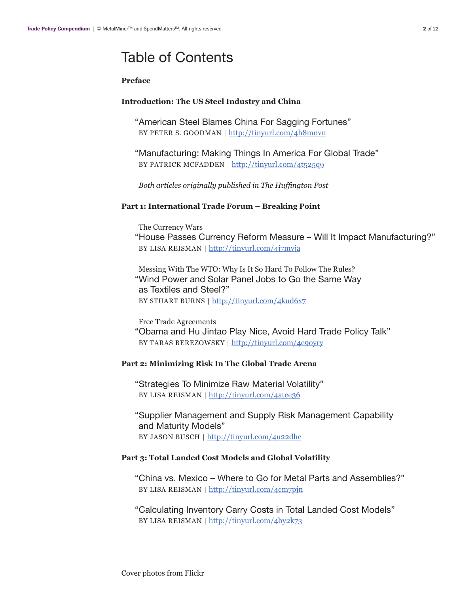# Table of Contents

#### **Preface**

#### **Introduction: The US Steel Industry and China**

"American Steel Blames China For Sagging Fortunes" BY PETER S. GOODMAN | <http://tinyurl.com/4h8mnvn>

"Manufacturing: Making Things In America For Global Trade" BY PATRICK MCFADDEN | <http://tinyurl.com/4t525q9>

 *Both articles originally published in The Huffington Post*

#### **Part 1: International Trade Forum – Breaking Point**

The Currency Wars

"House Passes Currency Reform Measure – Will It Impact Manufacturing?" BY LISA REISMAN | <http://tinyurl.com/4j7mvja>

 Messing With The WTO: Why Is It So Hard To Follow The Rules? "Wind Power and Solar Panel Jobs to Go the Same Way as Textiles and Steel?" BY STUART BURNS | <http://tinyurl.com/4kud6x7>

Free Trade Agreements

"Obama and Hu Jintao Play Nice, Avoid Hard Trade Policy Talk" BY TARAS BEREZOWSKY | <http://tinyurl.com/4e9oyry>

#### **Part 2: Minimizing Risk In The Global Trade Arena**

"Strategies To Minimize Raw Material Volatility" BY LISA REISMAN | <http://tinyurl.com/4atee36>

"Supplier Management and Supply Risk Management Capability and Maturity Models" BY JASON BUSCH | <http://tinyurl.com/4u22dhc>

#### **Part 3: Total Landed Cost Models and Global Volatility**

"China vs. Mexico – Where to Go for Metal Parts and Assemblies?" BY LISA REISMAN | <http://tinyurl.com/4cm7pjn>

"Calculating Inventory Carry Costs in Total Landed Cost Models" BY LISA REISMAN | <http://tinyurl.com/4by2k73>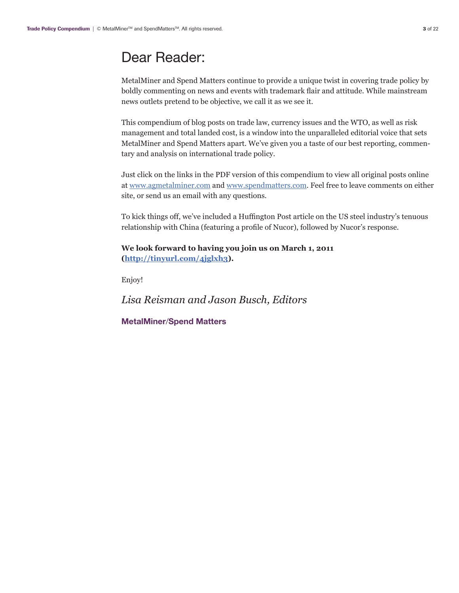## Dear Reader:

MetalMiner and Spend Matters continue to provide a unique twist in covering trade policy by boldly commenting on news and events with trademark flair and attitude. While mainstream news outlets pretend to be objective, we call it as we see it.

This compendium of blog posts on trade law, currency issues and the WTO, as well as risk management and total landed cost, is a window into the unparalleled editorial voice that sets MetalMiner and Spend Matters apart. We've given you a taste of our best reporting, commentary and analysis on international trade policy.

Just click on the links in the PDF version of this compendium to view all original posts online at [www.agmetalminer.com an](http://www.agmetalminer.com)d [www.spendmatters.com. Fe](http://www.spendmatters.com)el free to leave comments on either site, or send us an email with any questions.

To kick things off, we've included a Huffington Post article on the US steel industry's tenuous relationship with China (featuring a profile of Nucor), followed by Nucor's response.

**We look forward to having you join us on March 1, 2011 [\(http://tinyurl.com/4jglxh3\).](http://tinyurl.com/4jglxh3)**

Enjoy!

*Lisa Reisman and Jason Busch, Editors*

**MetalMiner**/**Spend Matters**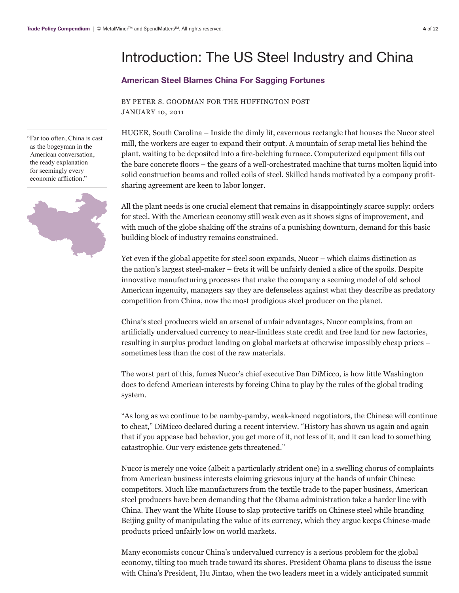Introduction: The US Steel Industry and China

#### **American Steel Blames China For Sagging Fortunes**

BY PETER S. GOODMAN FOR THE HUFFINGTON POST JANUARY 10, 2011

HUGER, South Carolina – Inside the dimly lit, cavernous rectangle that houses the Nucor steel mill, the workers are eager to expand their output. A mountain of scrap metal lies behind the plant, waiting to be deposited into a fire-belching furnace. Computerized equipment fills out the bare concrete floors – the gears of a well-orchestrated machine that turns molten liquid into solid construction beams and rolled coils of steel. Skilled hands motivated by a company profitsharing agreement are keen to labor longer.

All the plant needs is one crucial element that remains in disappointingly scarce supply: orders for steel. With the American economy still weak even as it shows signs of improvement, and with much of the globe shaking off the strains of a punishing downturn, demand for this basic building block of industry remains constrained.

Yet even if the global appetite for steel soon expands, Nucor – which claims distinction as the nation's largest steel-maker – frets it will be unfairly denied a slice of the spoils. Despite innovative manufacturing processes that make the company a seeming model of old school American ingenuity, managers say they are defenseless against what they describe as predatory competition from China, now the most prodigious steel producer on the planet.

China's steel producers wield an arsenal of unfair advantages, Nucor complains, from an artificially undervalued currency to near-limitless state credit and free land for new factories, resulting in surplus product landing on global markets at otherwise impossibly cheap prices – sometimes less than the cost of the raw materials.

The worst part of this, fumes Nucor's chief executive Dan DiMicco, is how little Washington does to defend American interests by forcing China to play by the rules of the global trading system.

"As long as we continue to be namby-pamby, weak-kneed negotiators, the Chinese will continue to cheat," DiMicco declared during a recent interview. "History has shown us again and again that if you appease bad behavior, you get more of it, not less of it, and it can lead to something catastrophic. Our very existence gets threatened."

Nucor is merely one voice (albeit a particularly strident one) in a swelling chorus of complaints from American business interests claiming grievous injury at the hands of unfair Chinese competitors. Much like manufacturers from the textile trade to the paper business, American steel producers have been demanding that the Obama administration take a harder line with China. They want the White House to slap protective tariffs on Chinese steel while branding Beijing guilty of manipulating the value of its currency, which they argue keeps Chinese-made products priced unfairly low on world markets.

Many economists concur China's undervalued currency is a serious problem for the global economy, tilting too much trade toward its shores. President Obama plans to discuss the issue with China's President, Hu Jintao, when the two leaders meet in a widely anticipated summit

"Far too often, China is cast as the bogeyman in the American conversation, the ready explanation for seemingly every economic affliction."

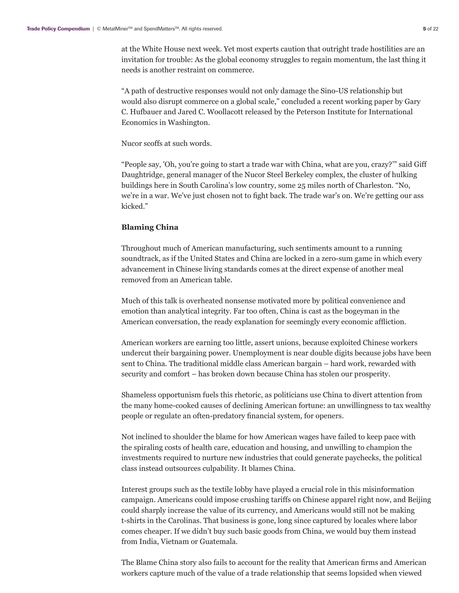at the White House next week. Yet most experts caution that outright trade hostilities are an invitation for trouble: As the global economy struggles to regain momentum, the last thing it needs is another restraint on commerce.

"A path of destructive responses would not only damage the Sino-US relationship but would also disrupt commerce on a global scale," concluded a recent working paper by Gary C. Hufbauer and Jared C. Woollacott released by the Peterson Institute for International Economics in Washington.

Nucor scoffs at such words.

"People say, 'Oh, you're going to start a trade war with China, what are you, crazy?'" said Giff Daughtridge, general manager of the Nucor Steel Berkeley complex, the cluster of hulking buildings here in South Carolina's low country, some 25 miles north of Charleston. "No, we're in a war. We've just chosen not to fight back. The trade war's on. We're getting our ass kicked."

#### **Blaming China**

Throughout much of American manufacturing, such sentiments amount to a running soundtrack, as if the United States and China are locked in a zero-sum game in which every advancement in Chinese living standards comes at the direct expense of another meal removed from an American table.

Much of this talk is overheated nonsense motivated more by political convenience and emotion than analytical integrity. Far too often, China is cast as the bogeyman in the American conversation, the ready explanation for seemingly every economic affliction.

American workers are earning too little, assert unions, because exploited Chinese workers undercut their bargaining power. Unemployment is near double digits because jobs have been sent to China. The traditional middle class American bargain – hard work, rewarded with security and comfort – has broken down because China has stolen our prosperity.

Shameless opportunism fuels this rhetoric, as politicians use China to divert attention from the many home-cooked causes of declining American fortune: an unwillingness to tax wealthy people or regulate an often-predatory financial system, for openers.

Not inclined to shoulder the blame for how American wages have failed to keep pace with the spiraling costs of health care, education and housing, and unwilling to champion the investments required to nurture new industries that could generate paychecks, the political class instead outsources culpability. It blames China.

Interest groups such as the textile lobby have played a crucial role in this misinformation campaign. Americans could impose crushing tariffs on Chinese apparel right now, and Beijing could sharply increase the value of its currency, and Americans would still not be making t-shirts in the Carolinas. That business is gone, long since captured by locales where labor comes cheaper. If we didn't buy such basic goods from China, we would buy them instead from India, Vietnam or Guatemala.

The Blame China story also fails to account for the reality that American firms and American workers capture much of the value of a trade relationship that seems lopsided when viewed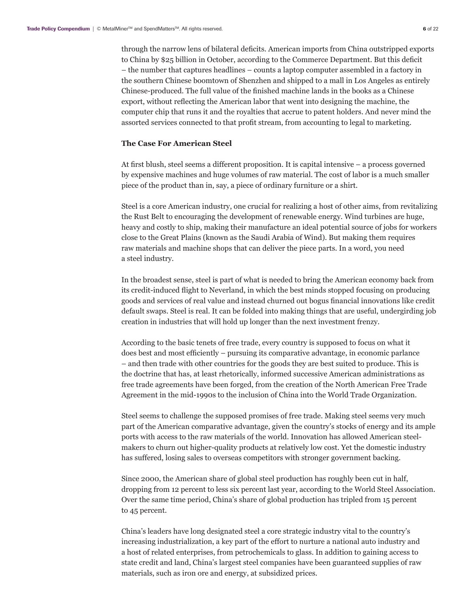through the narrow lens of bilateral deficits. American imports from China outstripped exports to China by \$25 billion in October, according to the Commerce Department. But this deficit – the number that captures headlines – counts a laptop computer assembled in a factory in the southern Chinese boomtown of Shenzhen and shipped to a mall in Los Angeles as entirely Chinese-produced. The full value of the finished machine lands in the books as a Chinese export, without reflecting the American labor that went into designing the machine, the computer chip that runs it and the royalties that accrue to patent holders. And never mind the assorted services connected to that profit stream, from accounting to legal to marketing.

#### **The Case For American Steel**

At first blush, steel seems a different proposition. It is capital intensive – a process governed by expensive machines and huge volumes of raw material. The cost of labor is a much smaller piece of the product than in, say, a piece of ordinary furniture or a shirt.

Steel is a core American industry, one crucial for realizing a host of other aims, from revitalizing the Rust Belt to encouraging the development of renewable energy. Wind turbines are huge, heavy and costly to ship, making their manufacture an ideal potential source of jobs for workers close to the Great Plains (known as the Saudi Arabia of Wind). But making them requires raw materials and machine shops that can deliver the piece parts. In a word, you need a steel industry.

In the broadest sense, steel is part of what is needed to bring the American economy back from its credit-induced flight to Neverland, in which the best minds stopped focusing on producing goods and services of real value and instead churned out bogus financial innovations like credit default swaps. Steel is real. It can be folded into making things that are useful, undergirding job creation in industries that will hold up longer than the next investment frenzy.

According to the basic tenets of free trade, every country is supposed to focus on what it does best and most efficiently – pursuing its comparative advantage, in economic parlance – and then trade with other countries for the goods they are best suited to produce. This is the doctrine that has, at least rhetorically, informed successive American administrations as free trade agreements have been forged, from the creation of the North American Free Trade Agreement in the mid-1990s to the inclusion of China into the World Trade Organization.

Steel seems to challenge the supposed promises of free trade. Making steel seems very much part of the American comparative advantage, given the country's stocks of energy and its ample ports with access to the raw materials of the world. Innovation has allowed American steelmakers to churn out higher-quality products at relatively low cost. Yet the domestic industry has suffered, losing sales to overseas competitors with stronger government backing.

Since 2000, the American share of global steel production has roughly been cut in half, dropping from 12 percent to less six percent last year, according to the World Steel Association. Over the same time period, China's share of global production has tripled from 15 percent to 45 percent.

China's leaders have long designated steel a core strategic industry vital to the country's increasing industrialization, a key part of the effort to nurture a national auto industry and a host of related enterprises, from petrochemicals to glass. In addition to gaining access to state credit and land, China's largest steel companies have been guaranteed supplies of raw materials, such as iron ore and energy, at subsidized prices.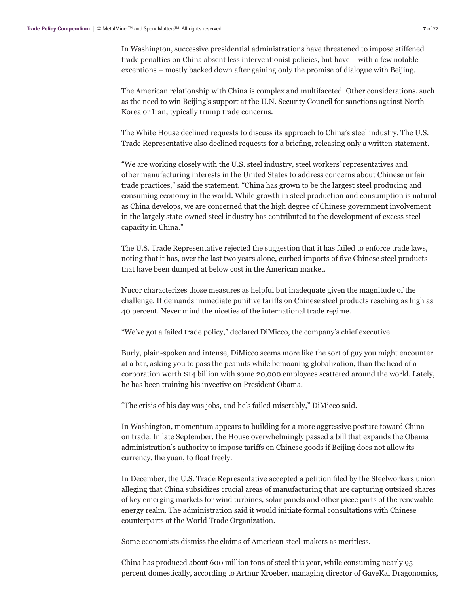In Washington, successive presidential administrations have threatened to impose stiffened trade penalties on China absent less interventionist policies, but have – with a few notable exceptions – mostly backed down after gaining only the promise of dialogue with Beijing.

The American relationship with China is complex and multifaceted. Other considerations, such as the need to win Beijing's support at the U.N. Security Council for sanctions against North Korea or Iran, typically trump trade concerns.

The White House declined requests to discuss its approach to China's steel industry. The U.S. Trade Representative also declined requests for a briefing, releasing only a written statement.

"We are working closely with the U.S. steel industry, steel workers' representatives and other manufacturing interests in the United States to address concerns about Chinese unfair trade practices," said the statement. "China has grown to be the largest steel producing and consuming economy in the world. While growth in steel production and consumption is natural as China develops, we are concerned that the high degree of Chinese government involvement in the largely state-owned steel industry has contributed to the development of excess steel capacity in China."

The U.S. Trade Representative rejected the suggestion that it has failed to enforce trade laws, noting that it has, over the last two years alone, curbed imports of five Chinese steel products that have been dumped at below cost in the American market.

Nucor characterizes those measures as helpful but inadequate given the magnitude of the challenge. It demands immediate punitive tariffs on Chinese steel products reaching as high as 40 percent. Never mind the niceties of the international trade regime.

"We've got a failed trade policy," declared DiMicco, the company's chief executive.

Burly, plain-spoken and intense, DiMicco seems more like the sort of guy you might encounter at a bar, asking you to pass the peanuts while bemoaning globalization, than the head of a corporation worth \$14 billion with some 20,000 employees scattered around the world. Lately, he has been training his invective on President Obama.

"The crisis of his day was jobs, and he's failed miserably," DiMicco said.

In Washington, momentum appears to building for a more aggressive posture toward China on trade. In late September, the House overwhelmingly passed a bill that expands the Obama administration's authority to impose tariffs on Chinese goods if Beijing does not allow its currency, the yuan, to float freely.

In December, the U.S. Trade Representative accepted a petition filed by the Steelworkers union alleging that China subsidizes crucial areas of manufacturing that are capturing outsized shares of key emerging markets for wind turbines, solar panels and other piece parts of the renewable energy realm. The administration said it would initiate formal consultations with Chinese counterparts at the World Trade Organization.

Some economists dismiss the claims of American steel-makers as meritless.

China has produced about 600 million tons of steel this year, while consuming nearly 95 percent domestically, according to Arthur Kroeber, managing director of GaveKal Dragonomics,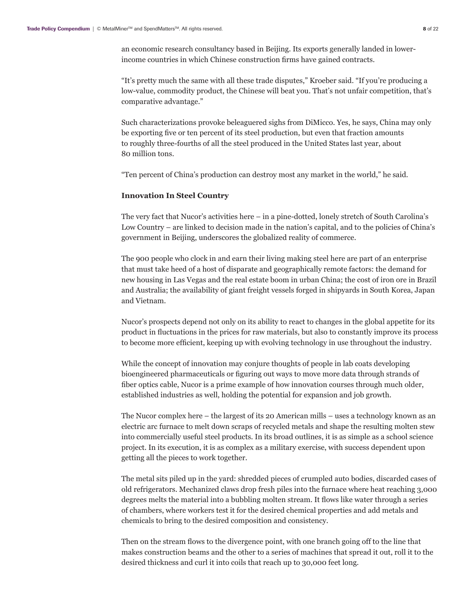an economic research consultancy based in Beijing. Its exports generally landed in lowerincome countries in which Chinese construction firms have gained contracts.

"It's pretty much the same with all these trade disputes," Kroeber said. "If you're producing a low-value, commodity product, the Chinese will beat you. That's not unfair competition, that's comparative advantage."

Such characterizations provoke beleaguered sighs from DiMicco. Yes, he says, China may only be exporting five or ten percent of its steel production, but even that fraction amounts to roughly three-fourths of all the steel produced in the United States last year, about 80 million tons.

"Ten percent of China's production can destroy most any market in the world," he said.

#### **Innovation In Steel Country**

The very fact that Nucor's activities here – in a pine-dotted, lonely stretch of South Carolina's Low Country – are linked to decision made in the nation's capital, and to the policies of China's government in Beijing, underscores the globalized reality of commerce.

The 900 people who clock in and earn their living making steel here are part of an enterprise that must take heed of a host of disparate and geographically remote factors: the demand for new housing in Las Vegas and the real estate boom in urban China; the cost of iron ore in Brazil and Australia; the availability of giant freight vessels forged in shipyards in South Korea, Japan and Vietnam.

Nucor's prospects depend not only on its ability to react to changes in the global appetite for its product in fluctuations in the prices for raw materials, but also to constantly improve its process to become more efficient, keeping up with evolving technology in use throughout the industry.

While the concept of innovation may conjure thoughts of people in lab coats developing bioengineered pharmaceuticals or figuring out ways to move more data through strands of fiber optics cable, Nucor is a prime example of how innovation courses through much older, established industries as well, holding the potential for expansion and job growth.

The Nucor complex here – the largest of its 20 American mills – uses a technology known as an electric arc furnace to melt down scraps of recycled metals and shape the resulting molten stew into commercially useful steel products. In its broad outlines, it is as simple as a school science project. In its execution, it is as complex as a military exercise, with success dependent upon getting all the pieces to work together.

The metal sits piled up in the yard: shredded pieces of crumpled auto bodies, discarded cases of old refrigerators. Mechanized claws drop fresh piles into the furnace where heat reaching 3,000 degrees melts the material into a bubbling molten stream. It flows like water through a series of chambers, where workers test it for the desired chemical properties and add metals and chemicals to bring to the desired composition and consistency.

Then on the stream flows to the divergence point, with one branch going off to the line that makes construction beams and the other to a series of machines that spread it out, roll it to the desired thickness and curl it into coils that reach up to 30,000 feet long.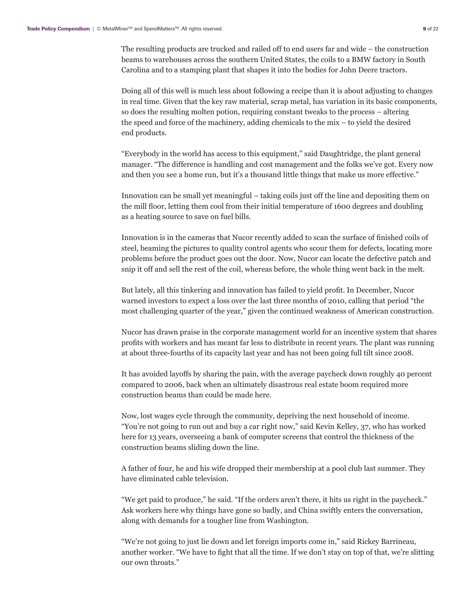The resulting products are trucked and railed off to end users far and wide – the construction beams to warehouses across the southern United States, the coils to a BMW factory in South Carolina and to a stamping plant that shapes it into the bodies for John Deere tractors.

Doing all of this well is much less about following a recipe than it is about adjusting to changes in real time. Given that the key raw material, scrap metal, has variation in its basic components, so does the resulting molten potion, requiring constant tweaks to the process – altering the speed and force of the machinery, adding chemicals to the mix – to yield the desired end products.

"Everybody in the world has access to this equipment," said Daughtridge, the plant general manager. "The difference is handling and cost management and the folks we've got. Every now and then you see a home run, but it's a thousand little things that make us more effective."

Innovation can be small yet meaningful – taking coils just off the line and depositing them on the mill floor, letting them cool from their initial temperature of 1600 degrees and doubling as a heating source to save on fuel bills.

Innovation is in the cameras that Nucor recently added to scan the surface of finished coils of steel, beaming the pictures to quality control agents who scour them for defects, locating more problems before the product goes out the door. Now, Nucor can locate the defective patch and snip it off and sell the rest of the coil, whereas before, the whole thing went back in the melt.

But lately, all this tinkering and innovation has failed to yield profit. In December, Nucor warned investors to expect a loss over the last three months of 2010, calling that period "the most challenging quarter of the year," given the continued weakness of American construction.

Nucor has drawn praise in the corporate management world for an incentive system that shares profits with workers and has meant far less to distribute in recent years. The plant was running at about three-fourths of its capacity last year and has not been going full tilt since 2008.

It has avoided layoffs by sharing the pain, with the average paycheck down roughly 40 percent compared to 2006, back when an ultimately disastrous real estate boom required more construction beams than could be made here.

Now, lost wages cycle through the community, depriving the next household of income. "You're not going to run out and buy a car right now," said Kevin Kelley, 37, who has worked here for 13 years, overseeing a bank of computer screens that control the thickness of the construction beams sliding down the line.

A father of four, he and his wife dropped their membership at a pool club last summer. They have eliminated cable television.

"We get paid to produce," he said. "If the orders aren't there, it hits us right in the paycheck." Ask workers here why things have gone so badly, and China swiftly enters the conversation, along with demands for a tougher line from Washington.

"We're not going to just lie down and let foreign imports come in," said Rickey Barrineau, another worker. "We have to fight that all the time. If we don't stay on top of that, we're slitting our own throats."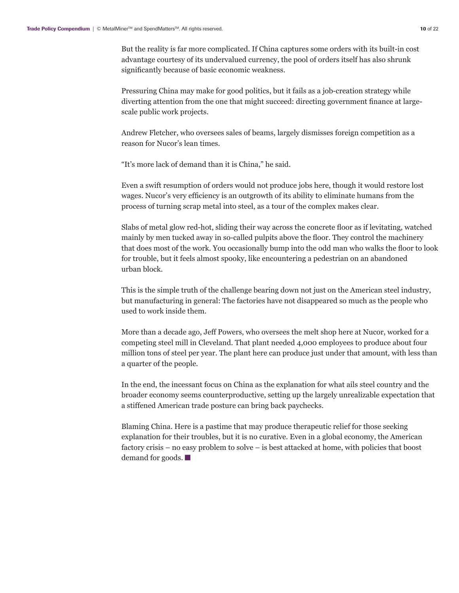But the reality is far more complicated. If China captures some orders with its built-in cost advantage courtesy of its undervalued currency, the pool of orders itself has also shrunk significantly because of basic economic weakness.

Pressuring China may make for good politics, but it fails as a job-creation strategy while diverting attention from the one that might succeed: directing government finance at largescale public work projects.

Andrew Fletcher, who oversees sales of beams, largely dismisses foreign competition as a reason for Nucor's lean times.

"It's more lack of demand than it is China," he said.

Even a swift resumption of orders would not produce jobs here, though it would restore lost wages. Nucor's very efficiency is an outgrowth of its ability to eliminate humans from the process of turning scrap metal into steel, as a tour of the complex makes clear.

Slabs of metal glow red-hot, sliding their way across the concrete floor as if levitating, watched mainly by men tucked away in so-called pulpits above the floor. They control the machinery that does most of the work. You occasionally bump into the odd man who walks the floor to look for trouble, but it feels almost spooky, like encountering a pedestrian on an abandoned urban block.

This is the simple truth of the challenge bearing down not just on the American steel industry, but manufacturing in general: The factories have not disappeared so much as the people who used to work inside them.

More than a decade ago, Jeff Powers, who oversees the melt shop here at Nucor, worked for a competing steel mill in Cleveland. That plant needed 4,000 employees to produce about four million tons of steel per year. The plant here can produce just under that amount, with less than a quarter of the people.

In the end, the incessant focus on China as the explanation for what ails steel country and the broader economy seems counterproductive, setting up the largely unrealizable expectation that a stiffened American trade posture can bring back paychecks.

Blaming China. Here is a pastime that may produce therapeutic relief for those seeking explanation for their troubles, but it is no curative. Even in a global economy, the American factory crisis – no easy problem to solve – is best attacked at home, with policies that boost demand for goods.  $\blacksquare$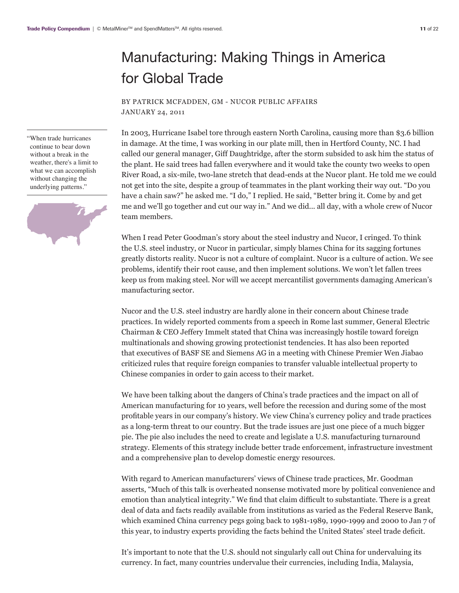# Manufacturing: Making Things in America for Global Trade

BY PATRICK MCFADDEN, GM - NUCOR PUBLIC AFFAIRS JANUARY 24, 2011

In 2003, Hurricane Isabel tore through eastern North Carolina, causing more than \$3.6 billion in damage. At the time, I was working in our plate mill, then in Hertford County, NC. I had called our general manager, Giff Daughtridge, after the storm subsided to ask him the status of the plant. He said trees had fallen everywhere and it would take the county two weeks to open River Road, a six-mile, two-lane stretch that dead-ends at the Nucor plant. He told me we could not get into the site, despite a group of teammates in the plant working their way out. "Do you have a chain saw?" he asked me. "I do," I replied. He said, "Better bring it. Come by and get me and we'll go together and cut our way in." And we did... all day, with a whole crew of Nucor team members.

When I read Peter Goodman's story about the steel industry and Nucor, I cringed. To think the U.S. steel industry, or Nucor in particular, simply blames China for its sagging fortunes greatly distorts reality. Nucor is not a culture of complaint. Nucor is a culture of action. We see problems, identify their root cause, and then implement solutions. We won't let fallen trees keep us from making steel. Nor will we accept mercantilist governments damaging American's manufacturing sector.

Nucor and the U.S. steel industry are hardly alone in their concern about Chinese trade practices. In widely reported comments from a speech in Rome last summer, General Electric Chairman & CEO Jeffery Immelt stated that China was increasingly hostile toward foreign multinationals and showing growing protectionist tendencies. It has also been reported that executives of BASF SE and Siemens AG in a meeting with Chinese Premier Wen Jiabao criticized rules that require foreign companies to transfer valuable intellectual property to Chinese companies in order to gain access to their market.

We have been talking about the dangers of China's trade practices and the impact on all of American manufacturing for 10 years, well before the recession and during some of the most profitable years in our company's history. We view China's currency policy and trade practices as a long-term threat to our country. But the trade issues are just one piece of a much bigger pie. The pie also includes the need to create and legislate a U.S. manufacturing turnaround strategy. Elements of this strategy include better trade enforcement, infrastructure investment and a comprehensive plan to develop domestic energy resources.

With regard to American manufacturers' views of Chinese trade practices, Mr. Goodman asserts, "Much of this talk is overheated nonsense motivated more by political convenience and emotion than analytical integrity." We find that claim difficult to substantiate. There is a great deal of data and facts readily available from institutions as varied as the Federal Reserve Bank, which examined China currency pegs going back to 1981-1989, 1990-1999 and 2000 to Jan 7 of this year, to industry experts providing the facts behind the United States' steel trade deficit.

It's important to note that the U.S. should not singularly call out China for undervaluing its currency. In fact, many countries undervalue their currencies, including India, Malaysia,

"When trade hurricanes continue to bear down without a break in the weather, there's a limit to what we can accomplish without changing the underlying patterns."

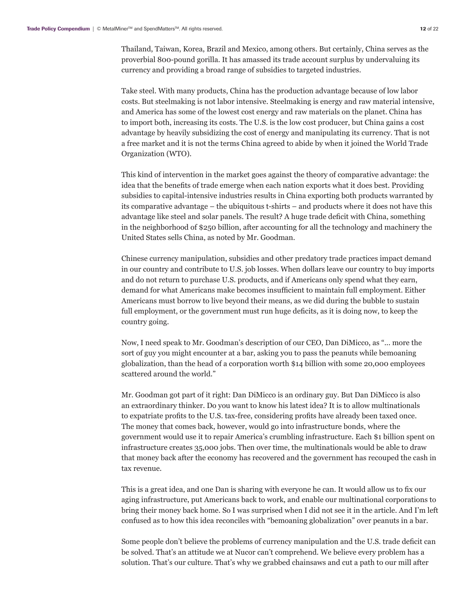Thailand, Taiwan, Korea, Brazil and Mexico, among others. But certainly, China serves as the proverbial 800-pound gorilla. It has amassed its trade account surplus by undervaluing its currency and providing a broad range of subsidies to targeted industries.

Take steel. With many products, China has the production advantage because of low labor costs. But steelmaking is not labor intensive. Steelmaking is energy and raw material intensive, and America has some of the lowest cost energy and raw materials on the planet. China has to import both, increasing its costs. The U.S. is the low cost producer, but China gains a cost advantage by heavily subsidizing the cost of energy and manipulating its currency. That is not a free market and it is not the terms China agreed to abide by when it joined the World Trade Organization (WTO).

This kind of intervention in the market goes against the theory of comparative advantage: the idea that the benefits of trade emerge when each nation exports what it does best. Providing subsidies to capital-intensive industries results in China exporting both products warranted by its comparative advantage – the ubiquitous t-shirts – and products where it does not have this advantage like steel and solar panels. The result? A huge trade deficit with China, something in the neighborhood of \$250 billion, after accounting for all the technology and machinery the United States sells China, as noted by Mr. Goodman.

Chinese currency manipulation, subsidies and other predatory trade practices impact demand in our country and contribute to U.S. job losses. When dollars leave our country to buy imports and do not return to purchase U.S. products, and if Americans only spend what they earn, demand for what Americans make becomes insufficient to maintain full employment. Either Americans must borrow to live beyond their means, as we did during the bubble to sustain full employment, or the government must run huge deficits, as it is doing now, to keep the country going.

Now, I need speak to Mr. Goodman's description of our CEO, Dan DiMicco, as "... more the sort of guy you might encounter at a bar, asking you to pass the peanuts while bemoaning globalization, than the head of a corporation worth \$14 billion with some 20,000 employees scattered around the world."

Mr. Goodman got part of it right: Dan DiMicco is an ordinary guy. But Dan DiMicco is also an extraordinary thinker. Do you want to know his latest idea? It is to allow multinationals to expatriate profits to the U.S. tax-free, considering profits have already been taxed once. The money that comes back, however, would go into infrastructure bonds, where the government would use it to repair America's crumbling infrastructure. Each \$1 billion spent on infrastructure creates 35,000 jobs. Then over time, the multinationals would be able to draw that money back after the economy has recovered and the government has recouped the cash in tax revenue.

This is a great idea, and one Dan is sharing with everyone he can. It would allow us to fix our aging infrastructure, put Americans back to work, and enable our multinational corporations to bring their money back home. So I was surprised when I did not see it in the article. And I'm left confused as to how this idea reconciles with "bemoaning globalization" over peanuts in a bar.

Some people don't believe the problems of currency manipulation and the U.S. trade deficit can be solved. That's an attitude we at Nucor can't comprehend. We believe every problem has a solution. That's our culture. That's why we grabbed chainsaws and cut a path to our mill after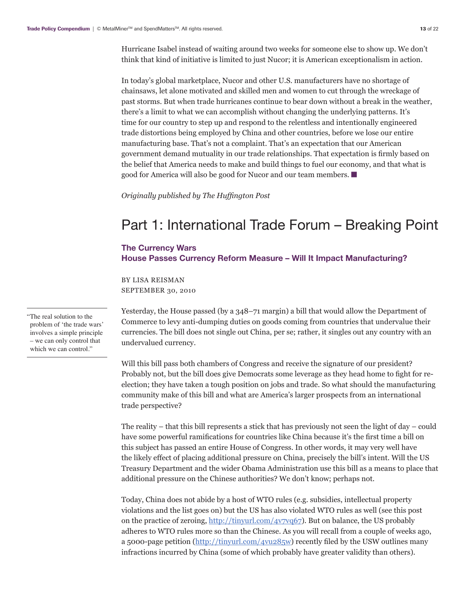Hurricane Isabel instead of waiting around two weeks for someone else to show up. We don't think that kind of initiative is limited to just Nucor; it is American exceptionalism in action.

In today's global marketplace, Nucor and other U.S. manufacturers have no shortage of chainsaws, let alone motivated and skilled men and women to cut through the wreckage of past storms. But when trade hurricanes continue to bear down without a break in the weather, there's a limit to what we can accomplish without changing the underlying patterns. It's time for our country to step up and respond to the relentless and intentionally engineered trade distortions being employed by China and other countries, before we lose our entire manufacturing base. That's not a complaint. That's an expectation that our American government demand mutuality in our trade relationships. That expectation is firmly based on the belief that America needs to make and build things to fuel our economy, and that what is good for America will also be good for Nucor and our team members.  $\blacksquare$ 

*Originally published by The Huffington Post*

## Part 1: International Trade Forum – Breaking Point

#### **The Currency Wars House Passes Currency Reform Measure – Will It Impact Manufacturing?**

BY LISA REISMAN SEPTEMBER 30, 2010

Yesterday, the House passed (by a 348–71 margin) a bill that would allow the Department of Commerce to levy anti-dumping duties on goods coming from countries that undervalue their currencies. The bill does not single out China, per se; rather, it singles out any country with an undervalued currency.

Will this bill pass both chambers of Congress and receive the signature of our president? Probably not, but the bill does give Democrats some leverage as they head home to fight for reelection; they have taken a tough position on jobs and trade. So what should the manufacturing community make of this bill and what are America's larger prospects from an international trade perspective?

The reality – that this bill represents a stick that has previously not seen the light of day – could have some powerful ramifications for countries like China because it's the first time a bill on this subject has passed an entire House of Congress. In other words, it may very well have the likely effect of placing additional pressure on China, precisely the bill's intent. Will the US Treasury Department and the wider Obama Administration use this bill as a means to place that additional pressure on the Chinese authorities? We don't know; perhaps not.

Today, China does not abide by a host of WTO rules (e.g. subsidies, intellectual property violations and the list goes on) but the US has also violated WTO rules as well (see this post on the practice of zeroing, <http://tinyurl.com/4v7vq67>). But on balance, the US probably adheres to WTO rules more so than the Chinese. As you will recall from a couple of weeks ago, a 5000-page petition (<http://tinyurl.com/4vu285w>) recently filed by the USW outlines many infractions incurred by China (some of which probably have greater validity than others).

"The real solution to the problem of 'the trade wars' involves a simple principle – we can only control that which we can control."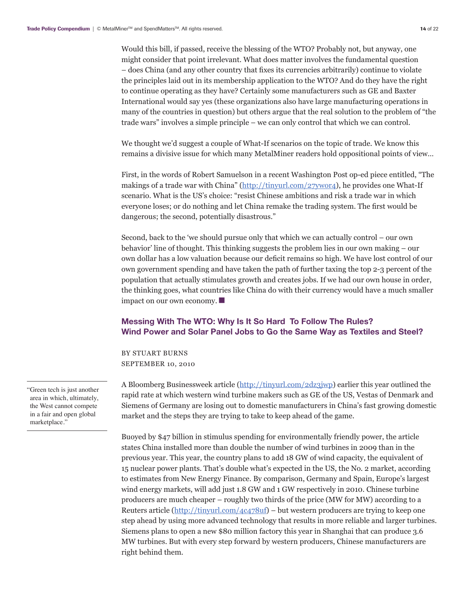Would this bill, if passed, receive the blessing of the WTO? Probably not, but anyway, one might consider that point irrelevant. What does matter involves the fundamental question – does China (and any other country that fixes its currencies arbitrarily) continue to violate the principles laid out in its membership application to the WTO? And do they have the right to continue operating as they have? Certainly some manufacturers such as GE and Baxter International would say yes (these organizations also have large manufacturing operations in many of the countries in question) but others argue that the real solution to the problem of "the trade wars" involves a simple principle – we can only control that which we can control.

We thought we'd suggest a couple of What-If scenarios on the topic of trade. We know this remains a divisive issue for which many MetalMiner readers hold oppositional points of view…

First, in the words of Robert Samuelson in a recent Washington Post op-ed piece entitled, "The makings of a trade war with China" [\(http://tinyurl.com/27ywor4](http://tinyurl.com/27ywor4)), he provides one What-If scenario. What is the US's choice: "resist Chinese ambitions and risk a trade war in which everyone loses; or do nothing and let China remake the trading system. The first would be dangerous; the second, potentially disastrous."

Second, back to the 'we should pursue only that which we can actually control – our own behavior' line of thought. This thinking suggests the problem lies in our own making – our own dollar has a low valuation because our deficit remains so high. We have lost control of our own government spending and have taken the path of further taxing the top 2-3 percent of the population that actually stimulates growth and creates jobs. If we had our own house in order, the thinking goes, what countries like China do with their currency would have a much smaller impact on our own economy.  $\blacksquare$ 

#### **Messing With The WTO: Why Is It So Hard To Follow The Rules? Wind Power and Solar Panel Jobs to Go the Same Way as Textiles and Steel?**

BY STUART BURNS SEPTEMBER 10, 2010

A Bloomberg Businessweek article ([http://tinyurl.com/2dz3jwp\) ea](http://tinyurl.com/2dz3jwp)rlier this year outlined the rapid rate at which western wind turbine makers such as GE of the US, Vestas of Denmark and Siemens of Germany are losing out to domestic manufacturers in China's fast growing domestic market and the steps they are trying to take to keep ahead of the game.

Buoyed by \$47 billion in stimulus spending for environmentally friendly power, the article states China installed more than double the number of wind turbines in 2009 than in the previous year. This year, the country plans to add 18 GW of wind capacity, the equivalent of 15 nuclear power plants. That's double what's expected in the US, the No. 2 market, according to estimates from New Energy Finance. By comparison, Germany and Spain, Europe's largest wind energy markets, will add just 1.8 GW and 1 GW respectively in 2010. Chinese turbine producers are much cheaper – roughly two thirds of the price (MW for MW) according to a Reuters article (<http://tinyurl.com/4c478uf>) – but western producers are trying to keep one step ahead by using more advanced technology that results in more reliable and larger turbines. Siemens plans to open a new \$80 million factory this year in Shanghai that can produce 3.6 MW turbines. But with every step forward by western producers, Chinese manufacturers are right behind them.

"Green tech is just another area in which, ultimately, the West cannot compete in a fair and open global marketplace."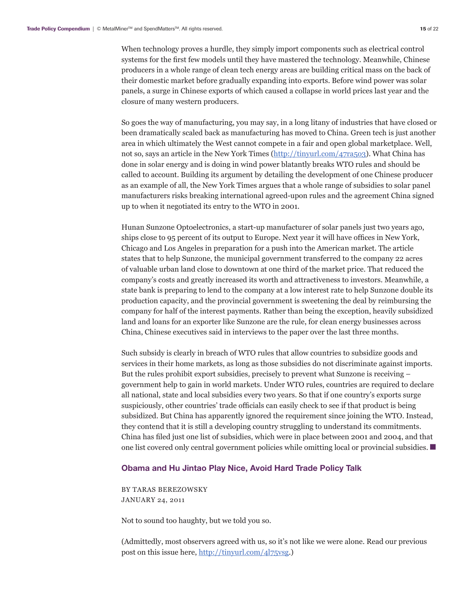When technology proves a hurdle, they simply import components such as electrical control systems for the first few models until they have mastered the technology. Meanwhile, Chinese producers in a whole range of clean tech energy areas are building critical mass on the back of their domestic market before gradually expanding into exports. Before wind power was solar panels, a surge in Chinese exports of which caused a collapse in world prices last year and the closure of many western producers.

So goes the way of manufacturing, you may say, in a long litany of industries that have closed or been dramatically scaled back as manufacturing has moved to China. Green tech is just another area in which ultimately the West cannot compete in a fair and open global marketplace. Well, not so, says an article in the New York Times [\(http://tinyurl.com/47ra5o3](http://tinyurl.com/47ra5o3)). What China has done in solar energy and is doing in wind power blatantly breaks WTO rules and should be called to account. Building its argument by detailing the development of one Chinese producer as an example of all, the New York Times argues that a whole range of subsidies to solar panel manufacturers risks breaking international agreed-upon rules and the agreement China signed up to when it negotiated its entry to the WTO in 2001.

Hunan Sunzone Optoelectronics, a start-up manufacturer of solar panels just two years ago, ships close to 95 percent of its output to Europe. Next year it will have offices in New York, Chicago and Los Angeles in preparation for a push into the American market. The article states that to help Sunzone, the municipal government transferred to the company 22 acres of valuable urban land close to downtown at one third of the market price. That reduced the company's costs and greatly increased its worth and attractiveness to investors. Meanwhile, a state bank is preparing to lend to the company at a low interest rate to help Sunzone double its production capacity, and the provincial government is sweetening the deal by reimbursing the company for half of the interest payments. Rather than being the exception, heavily subsidized land and loans for an exporter like Sunzone are the rule, for clean energy businesses across China, Chinese executives said in interviews to the paper over the last three months.

Such subsidy is clearly in breach of WTO rules that allow countries to subsidize goods and services in their home markets, as long as those subsidies do not discriminate against imports. But the rules prohibit export subsidies, precisely to prevent what Sunzone is receiving – government help to gain in world markets. Under WTO rules, countries are required to declare all national, state and local subsidies every two years. So that if one country's exports surge suspiciously, other countries' trade officials can easily check to see if that product is being subsidized. But China has apparently ignored the requirement since joining the WTO. Instead, they contend that it is still a developing country struggling to understand its commitments. China has filed just one list of subsidies, which were in place between 2001 and 2004, and that one list covered only central government policies while omitting local or provincial subsidies.  $\blacksquare$ 

#### **Obama and Hu Jintao Play Nice, Avoid Hard Trade Policy Talk**

BY TARAS BEREZOWSKY JANUARY 24, 2011

Not to sound too haughty, but we told you so.

(Admittedly, most observers agreed with us, so it's not like we were alone. Read our previous post on this issue here,<http://tinyurl.com/4l75vsg>.)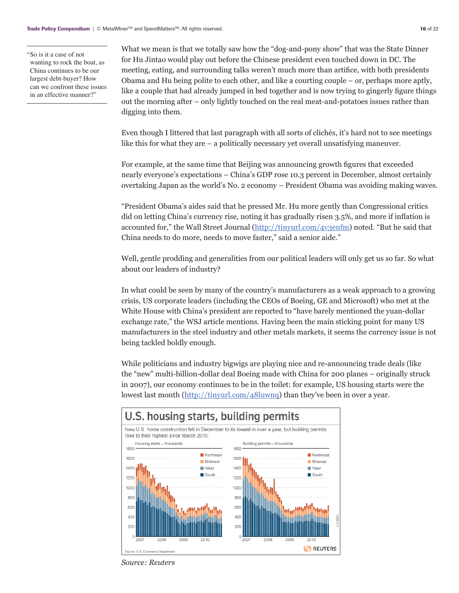"So is it a case of not wanting to rock the boat, as China continues to be our largest debt-buyer? How can we confront these issues in an effective manner?"

What we mean is that we totally saw how the "dog-and-pony show" that was the State Dinner for Hu Jintao would play out before the Chinese president even touched down in DC. The meeting, eating, and surrounding talks weren't much more than artifice, with both presidents Obama and Hu being polite to each other, and like a courting couple – or, perhaps more aptly, like a couple that had already jumped in bed together and is now trying to gingerly figure things out the morning after – only lightly touched on the real meat-and-potatoes issues rather than digging into them.

Even though I littered that last paragraph with all sorts of clichés, it's hard not to see meetings like this for what they are – a politically necessary yet overall unsatisfying maneuver.

For example, at the same time that Beijing was announcing growth figures that exceeded nearly everyone's expectations – China's GDP rose 10.3 percent in December, almost certainly overtaking Japan as the world's No. 2 economy – President Obama was avoiding making waves.

"President Obama's aides said that he pressed Mr. Hu more gently than Congressional critics did on letting China's currency rise, noting it has gradually risen 3.5%, and more if inflation is accounted for," the Wall Street Journal [\(http://tinyurl.com/4v3enfm](http://tinyurl.com/4v3enfm)) noted. "But he said that China needs to do more, needs to move faster," said a senior aide."

Well, gentle prodding and generalities from our political leaders will only get us so far. So what about our leaders of industry?

In what could be seen by many of the country's manufacturers as a weak approach to a growing crisis, US corporate leaders (including the CEOs of Boeing, GE and Microsoft) who met at the White House with China's president are reported to "have barely mentioned the yuan-dollar exchange rate," the WSJ article mentions. Having been the main sticking point for many US manufacturers in the steel industry and other metals markets, it seems the currency issue is not being tackled boldly enough.

While politicians and industry bigwigs are playing nice and re-announcing trade deals (like the "new" multi-billion-dollar deal Boeing made with China for 200 planes – originally struck in 2007), our economy continues to be in the toilet: for example, US housing starts were the lowest last month [\(http://tinyurl.com/48luwnq](http://tinyurl.com/48luwnq)) than they've been in over a year.



*Source: Reuters*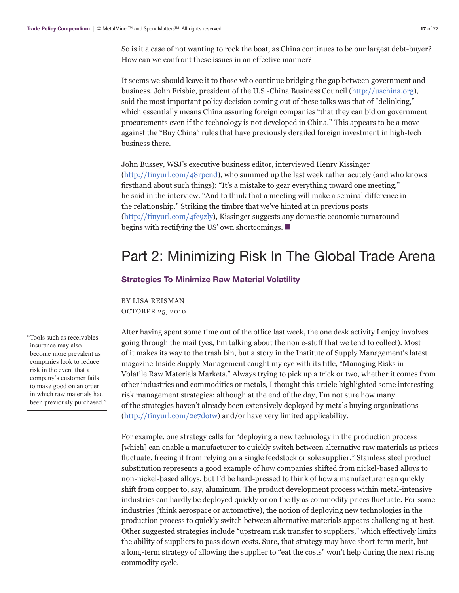So is it a case of not wanting to rock the boat, as China continues to be our largest debt-buyer? How can we confront these issues in an effective manner?

It seems we should leave it to those who continue bridging the gap between government and business. John Frisbie, president of the U.S.-China Business Council (<http://uschina.org>), said the most important policy decision coming out of these talks was that of "delinking," which essentially means China assuring foreign companies "that they can bid on government procurements even if the technology is not developed in China." This appears to be a move against the "Buy China" rules that have previously derailed foreign investment in high-tech business there.

John Bussey, WSJ's executive business editor, interviewed Henry Kissinger (<http://tinyurl.com/48rpcnd>), who summed up the last week rather acutely (and who knows firsthand about such things): "It's a mistake to gear everything toward one meeting," he said in the interview. "And to think that a meeting will make a seminal difference in the relationship." Striking the timbre that we've hinted at in previous posts ([http://tinyurl.com/4fc9zly\), Ki](http://tinyurl.com/4fc9zly)ssinger suggests any domestic economic turnaround begins with rectifying the US' own shortcomings.  $\blacksquare$ 

### Part 2: Minimizing Risk In The Global Trade Arena

#### **Strategies To Minimize Raw Material Volatility**

BY LISA REISMAN OCTOBER 25, 2010

After having spent some time out of the office last week, the one desk activity I enjoy involves going through the mail (yes, I'm talking about the non e-stuff that we tend to collect). Most of it makes its way to the trash bin, but a story in the Institute of Supply Management's latest magazine Inside Supply Management caught my eye with its title, "Managing Risks in Volatile Raw Materials Markets." Always trying to pick up a trick or two, whether it comes from other industries and commodities or metals, I thought this article highlighted some interesting risk management strategies; although at the end of the day, I'm not sure how many of the strategies haven't already been extensively deployed by metals buying organizations (<http://tinyurl.com/2e7dotw>) and/or have very limited applicability.

For example, one strategy calls for "deploying a new technology in the production process [which] can enable a manufacturer to quickly switch between alternative raw materials as prices fluctuate, freeing it from relying on a single feedstock or sole supplier." Stainless steel product substitution represents a good example of how companies shifted from nickel-based alloys to non-nickel-based alloys, but I'd be hard-pressed to think of how a manufacturer can quickly shift from copper to, say, aluminum. The product development process within metal-intensive industries can hardly be deployed quickly or on the fly as commodity prices fluctuate. For some industries (think aerospace or automotive), the notion of deploying new technologies in the production process to quickly switch between alternative materials appears challenging at best. Other suggested strategies include "upstream risk transfer to suppliers," which effectively limits the ability of suppliers to pass down costs. Sure, that strategy may have short-term merit, but a long-term strategy of allowing the supplier to "eat the costs" won't help during the next rising commodity cycle.

"Tools such as receivables insurance may also become more prevalent as companies look to reduce risk in the event that a company's customer fails to make good on an order in which raw materials had been previously purchased."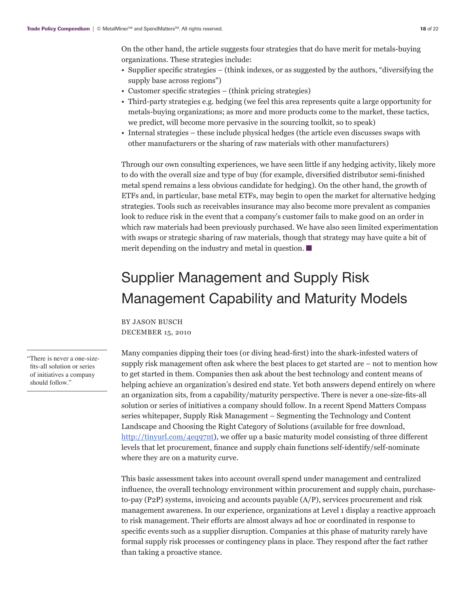On the other hand, the article suggests four strategies that do have merit for metals-buying organizations. These strategies include:

- Supplier specific strategies (think indexes, or as suggested by the authors, "diversifying the supply base across regions")
- Customer specific strategies (think pricing strategies)
- Third-party strategies e.g. hedging (we feel this area represents quite a large opportunity for metals-buying organizations; as more and more products come to the market, these tactics, we predict, will become more pervasive in the sourcing toolkit, so to speak)
- Internal strategies these include physical hedges (the article even discusses swaps with other manufacturers or the sharing of raw materials with other manufacturers)

Through our own consulting experiences, we have seen little if any hedging activity, likely more to do with the overall size and type of buy (for example, diversified distributor semi-finished metal spend remains a less obvious candidate for hedging). On the other hand, the growth of ETFs and, in particular, base metal ETFs, may begin to open the market for alternative hedging strategies. Tools such as receivables insurance may also become more prevalent as companies look to reduce risk in the event that a company's customer fails to make good on an order in which raw materials had been previously purchased. We have also seen limited experimentation with swaps or strategic sharing of raw materials, though that strategy may have quite a bit of merit depending on the industry and metal in question.  $\blacksquare$ 

# Supplier Management and Supply Risk Management Capability and Maturity Models

BY JASON BUSCH DECEMBER 15, 2010

Many companies dipping their toes (or diving head-first) into the shark-infested waters of supply risk management often ask where the best places to get started are – not to mention how to get started in them. Companies then ask about the best technology and content means of helping achieve an organization's desired end state. Yet both answers depend entirely on where an organization sits, from a capability/maturity perspective. There is never a one-size-fits-all solution or series of initiatives a company should follow. In a recent Spend Matters Compass series whitepaper, Supply Risk Management – Segmenting the Technology and Content Landscape and Choosing the Right Category of Solutions (available for free download, <http://tinyurl.com/4eq97nt>), we offer up a basic maturity model consisting of three different levels that let procurement, finance and supply chain functions self-identify/self-nominate where they are on a maturity curve.

This basic assessment takes into account overall spend under management and centralized influence, the overall technology environment within procurement and supply chain, purchaseto-pay (P2P) systems, invoicing and accounts payable  $(A/P)$ , services procurement and risk management awareness. In our experience, organizations at Level 1 display a reactive approach to risk management. Their efforts are almost always ad hoc or coordinated in response to specific events such as a supplier disruption. Companies at this phase of maturity rarely have formal supply risk processes or contingency plans in place. They respond after the fact rather than taking a proactive stance.

"There is never a one-sizefits-all solution or series of initiatives a company should follow."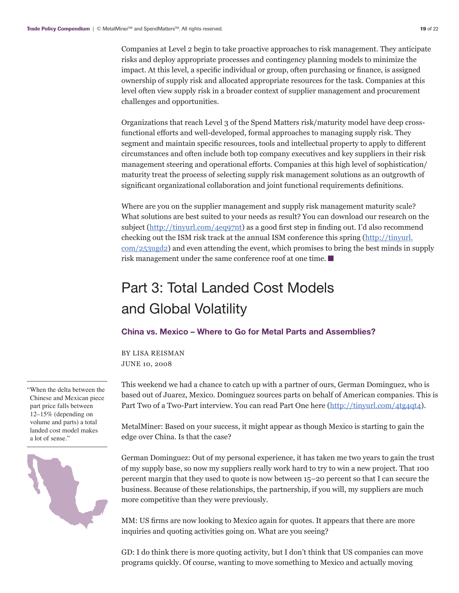Companies at Level 2 begin to take proactive approaches to risk management. They anticipate risks and deploy appropriate processes and contingency planning models to minimize the impact. At this level, a specific individual or group, often purchasing or finance, is assigned ownership of supply risk and allocated appropriate resources for the task. Companies at this level often view supply risk in a broader context of supplier management and procurement challenges and opportunities.

Organizations that reach Level 3 of the Spend Matters risk/maturity model have deep crossfunctional efforts and well-developed, formal approaches to managing supply risk. They segment and maintain specific resources, tools and intellectual property to apply to different circumstances and often include both top company executives and key suppliers in their risk management steering and operational efforts. Companies at this high level of sophistication/ maturity treat the process of selecting supply risk management solutions as an outgrowth of significant organizational collaboration and joint functional requirements definitions.

Where are you on the supplier management and supply risk management maturity scale? What solutions are best suited to your needs as result? You can download our research on the subject (<http://tinyurl.com/4eq97nt>) as a good first step in finding out. I'd also recommend checking out the ISM risk track at the annual ISM conference this spring [\(http://tinyurl.](http://tinyurl.com/253ugd2) [com/253ugd2](http://tinyurl.com/253ugd2)) and even attending the event, which promises to bring the best minds in supply risk management under the same conference roof at one time.  $\blacksquare$ 

# Part 3: Total Landed Cost Models and Global Volatility

#### **China vs. Mexico – Where to Go for Metal Parts and Assemblies?**

BY LISA REISMAN JUNE 10, 2008

This weekend we had a chance to catch up with a partner of ours, German Dominguez, who is based out of Juarez, Mexico. Dominguez sources parts on behalf of American companies. This is Part Two of a Two-Part interview. You can read Part One here [\(http://tinyurl.com/4tg4qt4](http://tinyurl.com/4tg4qt4)).

MetalMiner: Based on your success, it might appear as though Mexico is starting to gain the edge over China. Is that the case?

German Dominguez: Out of my personal experience, it has taken me two years to gain the trust of my supply base, so now my suppliers really work hard to try to win a new project. That 100 percent margin that they used to quote is now between 15–20 percent so that I can secure the business. Because of these relationships, the partnership, if you will, my suppliers are much more competitive than they were previously.

MM: US firms are now looking to Mexico again for quotes. It appears that there are more inquiries and quoting activities going on. What are you seeing?

GD: I do think there is more quoting activity, but I don't think that US companies can move programs quickly. Of course, wanting to move something to Mexico and actually moving

"When the delta between the Chinese and Mexican piece part price falls between 12–15% (depending on volume and parts) a total landed cost model makes a lot of sense."

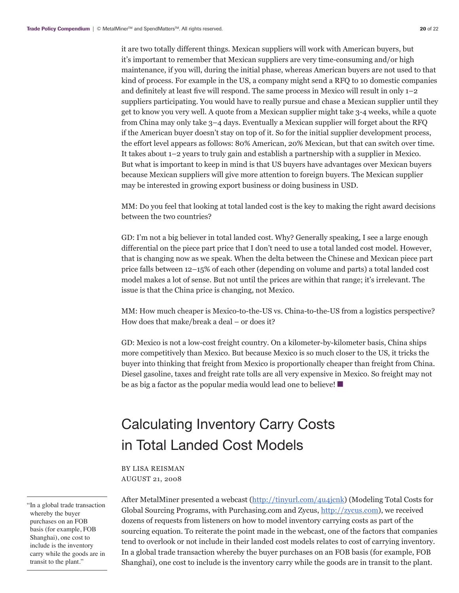it are two totally different things. Mexican suppliers will work with American buyers, but it's important to remember that Mexican suppliers are very time-consuming and/or high maintenance, if you will, during the initial phase, whereas American buyers are not used to that kind of process. For example in the US, a company might send a RFQ to 10 domestic companies and definitely at least five will respond. The same process in Mexico will result in only 1–2 suppliers participating. You would have to really pursue and chase a Mexican supplier until they get to know you very well. A quote from a Mexican supplier might take 3-4 weeks, while a quote from China may only take 3–4 days. Eventually a Mexican supplier will forget about the RFQ if the American buyer doesn't stay on top of it. So for the initial supplier development process, the effort level appears as follows: 80% American, 20% Mexican, but that can switch over time. It takes about 1–2 years to truly gain and establish a partnership with a supplier in Mexico. But what is important to keep in mind is that US buyers have advantages over Mexican buyers because Mexican suppliers will give more attention to foreign buyers. The Mexican supplier may be interested in growing export business or doing business in USD.

MM: Do you feel that looking at total landed cost is the key to making the right award decisions between the two countries?

GD: I'm not a big believer in total landed cost. Why? Generally speaking, I see a large enough differential on the piece part price that I don't need to use a total landed cost model. However, that is changing now as we speak. When the delta between the Chinese and Mexican piece part price falls between 12–15% of each other (depending on volume and parts) a total landed cost model makes a lot of sense. But not until the prices are within that range; it's irrelevant. The issue is that the China price is changing, not Mexico.

MM: How much cheaper is Mexico-to-the-US vs. China-to-the-US from a logistics perspective? How does that make/break a deal – or does it?

GD: Mexico is not a low-cost freight country. On a kilometer-by-kilometer basis, China ships more competitively than Mexico. But because Mexico is so much closer to the US, it tricks the buyer into thinking that freight from Mexico is proportionally cheaper than freight from China. Diesel gasoline, taxes and freight rate tolls are all very expensive in Mexico. So freight may not be as big a factor as the popular media would lead one to believe!  $\blacksquare$ 

# Calculating Inventory Carry Costs in Total Landed Cost Models

BY LISA REISMAN AUGUST 21, 2008

"In a global trade transaction whereby the buyer purchases on an FOB basis (for example, FOB Shanghai), one cost to include is the inventory carry while the goods are in transit to the plant."

After MetalMiner presented a webcast (<http://tinyurl.com/4u4jcnk>) (Modeling Total Costs for Global Sourcing Programs, with Purchasing.com and Zycus, [http://zycus.com\), we](http://zycus.com) received dozens of requests from listeners on how to model inventory carrying costs as part of the sourcing equation. To reiterate the point made in the webcast, one of the factors that companies tend to overlook or not include in their landed cost models relates to cost of carrying inventory. In a global trade transaction whereby the buyer purchases on an FOB basis (for example, FOB Shanghai), one cost to include is the inventory carry while the goods are in transit to the plant.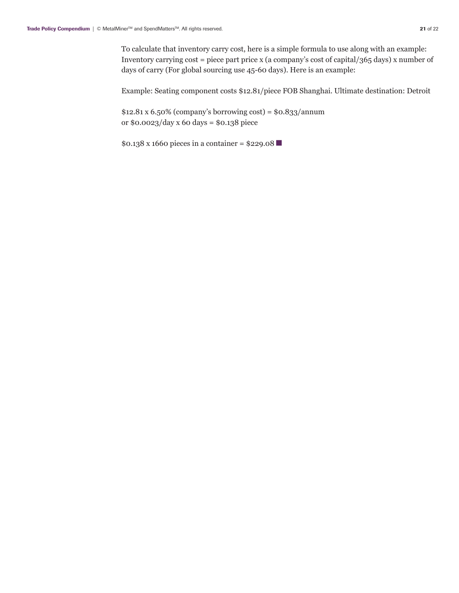To calculate that inventory carry cost, here is a simple formula to use along with an example: Inventory carrying cost = piece part price x (a company's cost of capital/365 days) x number of days of carry (For global sourcing use 45-60 days). Here is an example:

Example: Seating component costs \$12.81/piece FOB Shanghai. Ultimate destination: Detroit

 $$12.81 \times 6.50\%$  (company's borrowing cost) =  $$0.833/$ annum or \$0.0023/day x 60 days = \$0.138 piece

 $$0.138 \times 1660$  pieces in a container =  $$229.08$   $\blacksquare$